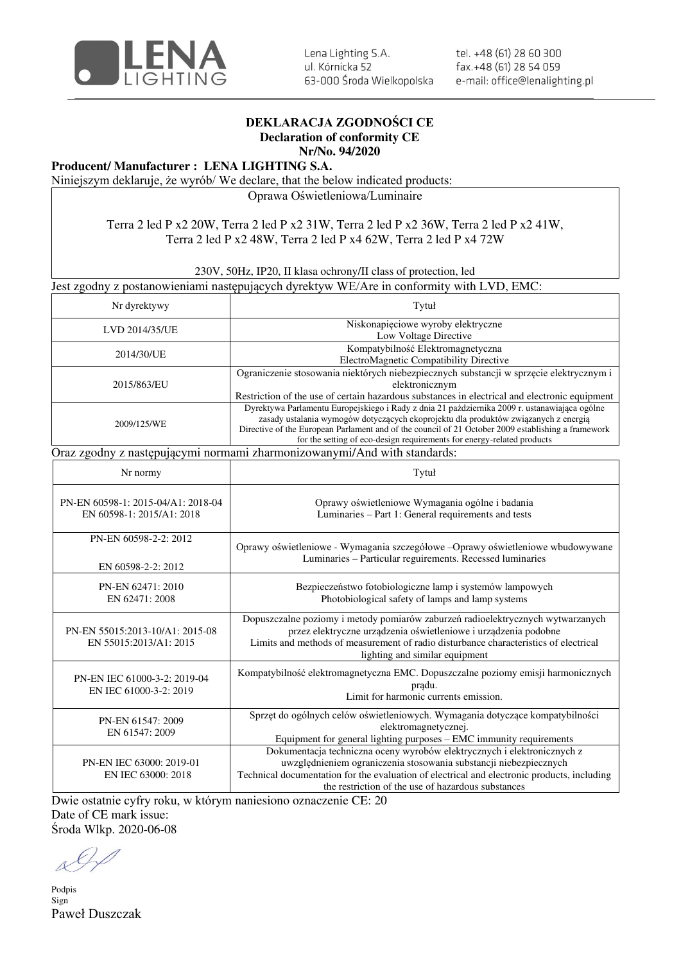

tel. +48 (61) 28 60 300 fax.+48 (61) 28 54 059 e-mail: office@lenalighting.pl

## **DEKLARACJA ZGODNOŚCI CE Declaration of conformity CE**

**Nr/No. 94/2020** 

## **Producent/ Manufacturer : LENA LIGHTING S.A.**

Niniejszym deklaruje, że wyrób/ We declare, that the below indicated products:

Oprawa Oświetleniowa/Luminaire

## Terra 2 led P x2 20W, Terra 2 led P x2 31W, Terra 2 led P x2 36W, Terra 2 led P x2 41W, Terra 2 led P x2 48W, Terra 2 led P x4 62W, Terra 2 led P x4 72W

230V, 50Hz, IP20, II klasa ochrony/II class of protection, led

Jest zgodny z postanowieniami następujących dyrektyw WE/Are in conformity with LVD, EMC:

| Nr dyrektywy                                                             | Tytuł                                                                                                                                                                                                                                                                                                                                                                |  |
|--------------------------------------------------------------------------|----------------------------------------------------------------------------------------------------------------------------------------------------------------------------------------------------------------------------------------------------------------------------------------------------------------------------------------------------------------------|--|
| LVD 2014/35/UE                                                           | Niskonapięciowe wyroby elektryczne<br>Low Voltage Directive                                                                                                                                                                                                                                                                                                          |  |
| 2014/30/UE                                                               | Kompatybilność Elektromagnetyczna<br>ElectroMagnetic Compatibility Directive                                                                                                                                                                                                                                                                                         |  |
| 2015/863/EU                                                              | Ograniczenie stosowania niektórych niebezpiecznych substancji w sprzęcie elektrycznym i<br>elektronicznym<br>Restriction of the use of certain hazardous substances in electrical and electronic equipment                                                                                                                                                           |  |
| 2009/125/WE                                                              | Dyrektywa Parlamentu Europejskiego i Rady z dnia 21 października 2009 r. ustanawiająca ogólne<br>zasady ustalania wymogów dotyczących ekoprojektu dla produktów związanych z energią<br>Directive of the European Parlament and of the council of 21 October 2009 establishing a framework<br>for the setting of eco-design requirements for energy-related products |  |
| Oraz zgodny z następującymi normami zharmonizowanymi/And with standards: |                                                                                                                                                                                                                                                                                                                                                                      |  |
| Nr normy                                                                 | Tytuł                                                                                                                                                                                                                                                                                                                                                                |  |
| PN-EN 60598-1: 2015-04/A1: 2018-04<br>EN 60598-1: 2015/A1: 2018          | Oprawy oświetleniowe Wymagania ogólne i badania<br>Luminaries - Part 1: General requirements and tests                                                                                                                                                                                                                                                               |  |
| PN-EN 60598-2-2: 2012<br>EN 60598-2-2: 2012                              | Oprawy oświetleniowe - Wymagania szczegółowe - Oprawy oświetleniowe wbudowywane<br>Luminaries - Particular reguirements. Recessed luminaries                                                                                                                                                                                                                         |  |
| PN-EN 62471: 2010<br>EN 62471: 2008                                      | Bezpieczeństwo fotobiologiczne lamp i systemów lampowych<br>Photobiological safety of lamps and lamp systems                                                                                                                                                                                                                                                         |  |
| PN-EN 55015:2013-10/A1: 2015-08<br>EN 55015:2013/A1: 2015                | Dopuszczalne poziomy i metody pomiarów zaburzeń radioelektrycznych wytwarzanych<br>przez elektryczne urządzenia oświetleniowe i urządzenia podobne<br>Limits and methods of measurement of radio disturbance characteristics of electrical<br>lighting and similar equipment                                                                                         |  |
| PN-EN IEC 61000-3-2: 2019-04<br>EN IEC 61000-3-2: 2019                   | Kompatybilność elektromagnetyczna EMC. Dopuszczalne poziomy emisji harmonicznych<br>pradu.<br>Limit for harmonic currents emission.                                                                                                                                                                                                                                  |  |
| PN-EN 61547: 2009<br>EN 61547: 2009                                      | Sprzęt do ogólnych celów oświetleniowych. Wymagania dotyczące kompatybilności<br>elektromagnetycznej.<br>Equipment for general lighting purposes - EMC immunity requirements                                                                                                                                                                                         |  |
| PN-EN IEC 63000: 2019-01<br>EN IEC 63000: 2018                           | Dokumentacja techniczna oceny wyrobów elektrycznych i elektronicznych z<br>uwzględnieniem ograniczenia stosowania substancji niebezpiecznych<br>Technical documentation for the evaluation of electrical and electronic products, including<br>the restriction of the use of hazardous substances                                                                    |  |

Dwie ostatnie cyfry roku, w którym naniesiono oznaczenie CE: 20 Date of CE mark issue:

Środa Wlkp. 2020-06-08

Podpis Sign Paweł Duszczak